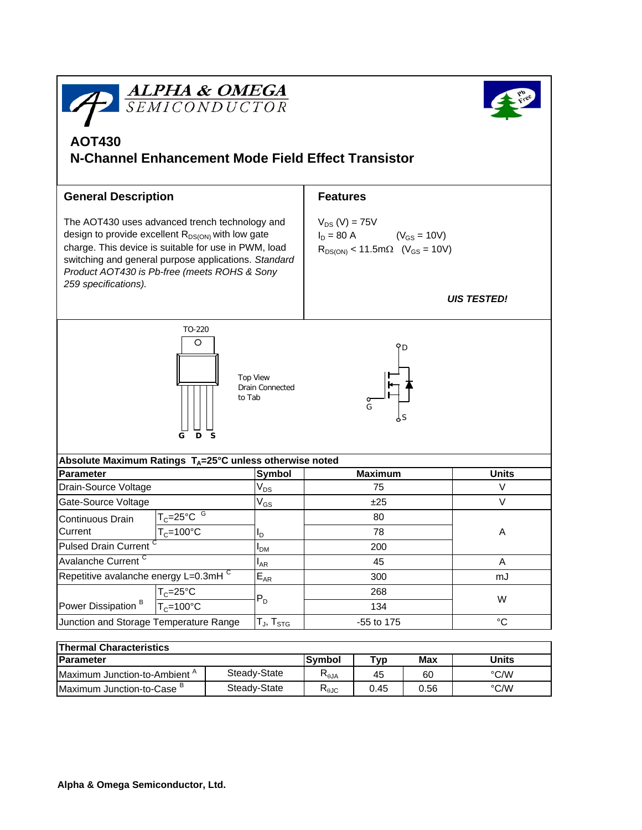

| <b>Thermal Characteristics</b>           |              |                                       |                 |      |              |  |  |  |  |
|------------------------------------------|--------------|---------------------------------------|-----------------|------|--------------|--|--|--|--|
| <b>Parameter</b>                         |              | <b>Symbol</b>                         | $_{\text{typ}}$ | Max  | <b>Units</b> |  |  |  |  |
| Maximum Junction-to-Ambient <sup>A</sup> | Steady-State | $\bm{\mathsf{R}}_{\theta\mathsf{JA}}$ | 45              | 60   | °C/W         |  |  |  |  |
| Maximum Junction-to-Case '               | Steady-State | ה<br>下⊕ЈС                             | 0.45            | 0.56 | °C/W         |  |  |  |  |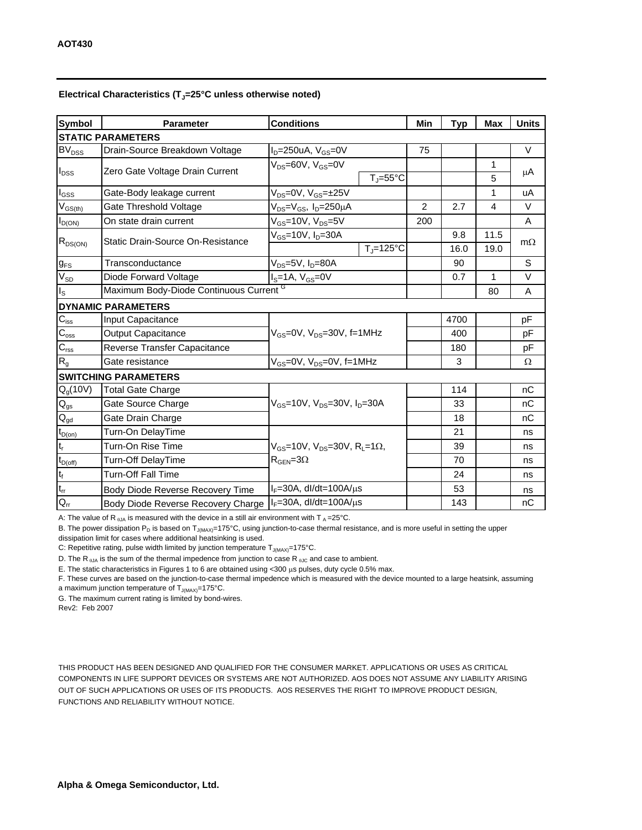## Electrical Characteristics (T<sub>J</sub>=25°C unless otherwise noted)

| <b>Symbol</b>                       | <b>Conditions</b><br><b>Parameter</b>   |                                                                                          |                                | Min            | <b>Typ</b> | <b>Max</b> | <b>Units</b> |  |  |  |  |
|-------------------------------------|-----------------------------------------|------------------------------------------------------------------------------------------|--------------------------------|----------------|------------|------------|--------------|--|--|--|--|
| <b>STATIC PARAMETERS</b>            |                                         |                                                                                          |                                |                |            |            |              |  |  |  |  |
| <b>BV<sub>DSS</sub></b>             | Drain-Source Breakdown Voltage          | $I_D = 250$ uA, $V_{GS} = 0V$                                                            |                                | 75             |            |            | $\vee$       |  |  |  |  |
| $I_{DSS}$                           | Zero Gate Voltage Drain Current         | $V_{DS}$ =60V, $V_{GS}$ =0V                                                              |                                |                |            | 1          | μA           |  |  |  |  |
|                                     |                                         |                                                                                          | $T_{\parallel} = 55^{\circ}$ C |                |            | 5          |              |  |  |  |  |
| $I_{\rm GSS}$                       | Gate-Body leakage current               | $V_{DS}$ =0V, $V_{GS}$ = $\pm$ 25V                                                       |                                |                |            | 1          | uA           |  |  |  |  |
| $V_{GS(th)}$                        | Gate Threshold Voltage                  | $V_{DS} = V_{GS}$ , $I_D = 250 \mu A$                                                    |                                | $\overline{2}$ | 2.7        | 4          | $\vee$       |  |  |  |  |
| $I_{D(ON)}$                         | On state drain current                  | $V_{GS}$ =10V, V <sub>DS</sub> =5V                                                       |                                | 200            |            |            | Α            |  |  |  |  |
| $R_{DS(ON)}$                        | Static Drain-Source On-Resistance       | $V_{GS}$ =10V, $I_{D}$ =30A                                                              |                                |                | 9.8        | 11.5       |              |  |  |  |  |
|                                     |                                         |                                                                                          | $T_i = 125$ °C                 |                | 16.0       | 19.0       | $m\Omega$    |  |  |  |  |
| $g_\mathsf{FS}$                     | Transconductance                        | V <sub>DS</sub> =5V, I <sub>D</sub> =80A                                                 |                                |                | 90         |            | S            |  |  |  |  |
| $V_{SD}$                            | Diode Forward Voltage                   | $IS=1A, VGS=0V$                                                                          |                                |                | 0.7        | 1          | $\vee$       |  |  |  |  |
| ls                                  | Maximum Body-Diode Continuous Current G |                                                                                          |                                |                |            | 80         | A            |  |  |  |  |
|                                     | <b>DYNAMIC PARAMETERS</b>               |                                                                                          |                                |                |            |            |              |  |  |  |  |
| $C_{\text{iss}}$                    | Input Capacitance                       | $V_{GS}$ =0V, $V_{DS}$ =30V, f=1MHz                                                      |                                |                | 4700       |            | pF           |  |  |  |  |
| $\mathsf{C}_{\mathrm{oss}}$         | <b>Output Capacitance</b>               |                                                                                          |                                |                | 400        |            | рF           |  |  |  |  |
| $C_{\text{rss}}$                    | Reverse Transfer Capacitance            |                                                                                          |                                |                | 180        |            | рF           |  |  |  |  |
| $R_g$                               | Gate resistance                         | $V_{GS}$ =0V, $V_{DS}$ =0V, f=1MHz                                                       |                                |                | 3          |            | Ω            |  |  |  |  |
|                                     | <b>SWITCHING PARAMETERS</b>             |                                                                                          |                                |                |            |            |              |  |  |  |  |
| Q <sub>g</sub> (10V)                | <b>Total Gate Charge</b>                | $V_{GS}$ =10V, $V_{DS}$ =30V, $I_{D}$ =30A                                               |                                |                | 114        |            | nC           |  |  |  |  |
| $\mathsf{Q}_{\mathsf{gs}}$          | Gate Source Charge                      |                                                                                          |                                |                | 33         |            | nC           |  |  |  |  |
| $Q_{gd}$                            | Gate Drain Charge                       |                                                                                          |                                |                | 18         |            | nC           |  |  |  |  |
| $t_{D(on)}$                         | Turn-On DelayTime                       |                                                                                          |                                |                | 21         |            | ns           |  |  |  |  |
| $\mathsf{t}_{\mathsf{r}}$           | Turn-On Rise Time                       | $V_{GS}$ =10V, $V_{DS}$ =30V, R <sub>L</sub> =1 $\Omega$ ,<br>$R_{\text{GEN}} = 3\Omega$ |                                |                | 39         |            | ns           |  |  |  |  |
| $t_{D{\rm (off)}}$                  | Turn-Off DelayTime                      |                                                                                          |                                |                | 70         |            | ns           |  |  |  |  |
| $\mathsf{t}_{\mathsf{f}}$           | <b>Turn-Off Fall Time</b>               |                                                                                          |                                |                | 24         |            | ns           |  |  |  |  |
| $\mathsf{t}_{\mathsf{r}\mathsf{r}}$ | Body Diode Reverse Recovery Time        | $I_F = 30A$ , dl/dt=100A/ $\mu$ s                                                        |                                |                | 53         |            | ns           |  |  |  |  |
| $Q_{rr}$                            | Body Diode Reverse Recovery Charge      | $I_F = 30A$ , dl/dt=100A/ $\mu$ s                                                        |                                |                | 143        |            | пC           |  |  |  |  |

A: The value of R  $_{\theta$ JA is measured with the device in a still air environment with T  $_A = 25^{\circ}$ C.

B. The power dissipation  $P_D$  is based on  $T_{J(MAX)} = 175^{\circ}C$ , using junction-to-case thermal resistance, and is more useful in setting the upper

dissipation limit for cases where additional heatsinking is used.

C: Repetitive rating, pulse width limited by junction temperature  $T_{J(MAX)}$ =175°C.

D. The R<sub> $\theta$ JA</sub> is the sum of the thermal impedence from junction to case R<sub> $\theta$ JC</sub> and case to ambient.

E. The static characteristics in Figures 1 to 6 are obtained using <300 µs pulses, duty cycle 0.5% max.

F. These curves are based on the junction-to-case thermal impedence which is measured with the device mounted to a large heatsink, assuming a maximum junction temperature of  $T_{J(MAX)}$ =175°C.

G. The maximum current rating is limited by bond-wires.

Rev2: Feb 2007

THIS PRODUCT HAS BEEN DESIGNED AND QUALIFIED FOR THE CONSUMER MARKET. APPLICATIONS OR USES AS CRITICAL COMPONENTS IN LIFE SUPPORT DEVICES OR SYSTEMS ARE NOT AUTHORIZED. AOS DOES NOT ASSUME ANY LIABILITY ARISING OUT OF SUCH APPLICATIONS OR USES OF ITS PRODUCTS. AOS RESERVES THE RIGHT TO IMPROVE PRODUCT DESIGN, FUNCTIONS AND RELIABILITY WITHOUT NOTICE.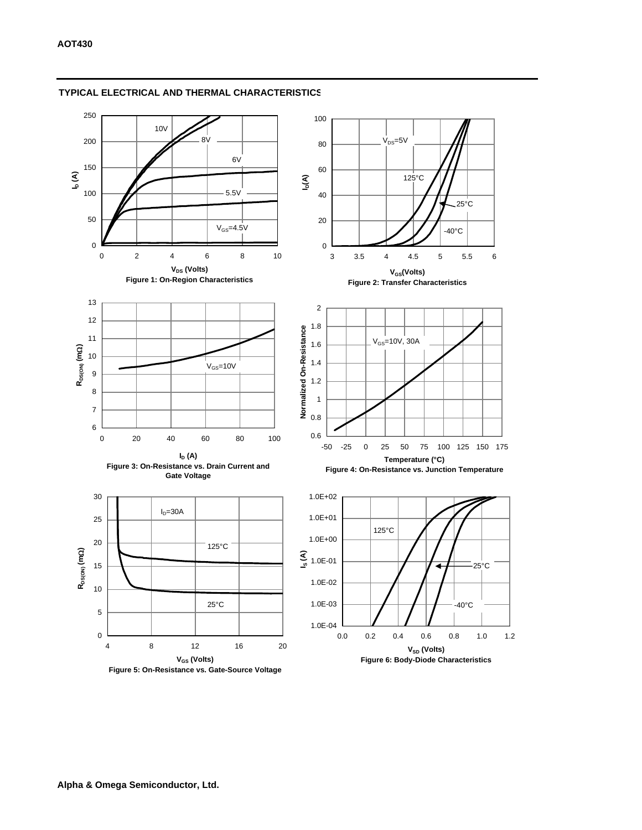

## **TYPICAL ELECTRICAL AND THERMAL CHARACTERISTICS**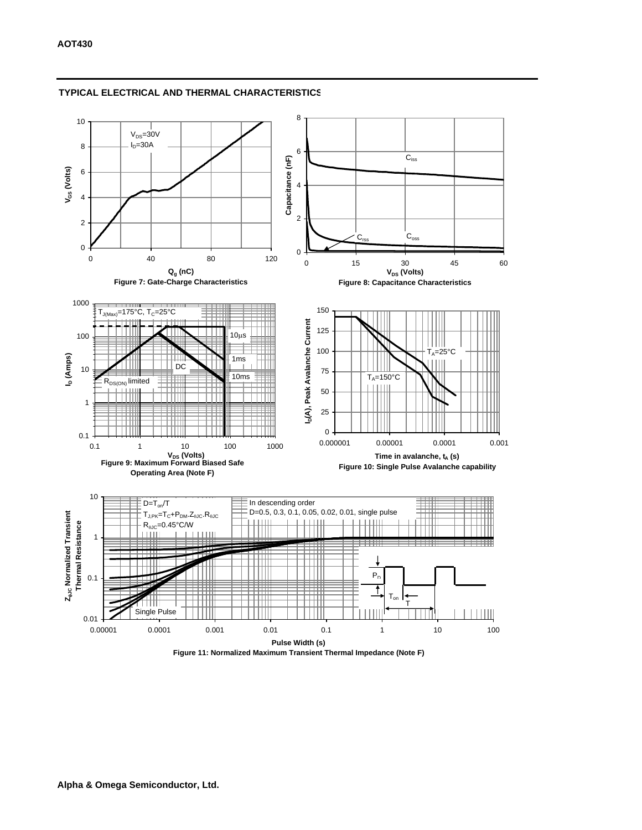

## **TYPICAL ELECTRICAL AND THERMAL CHARACTERISTICS**